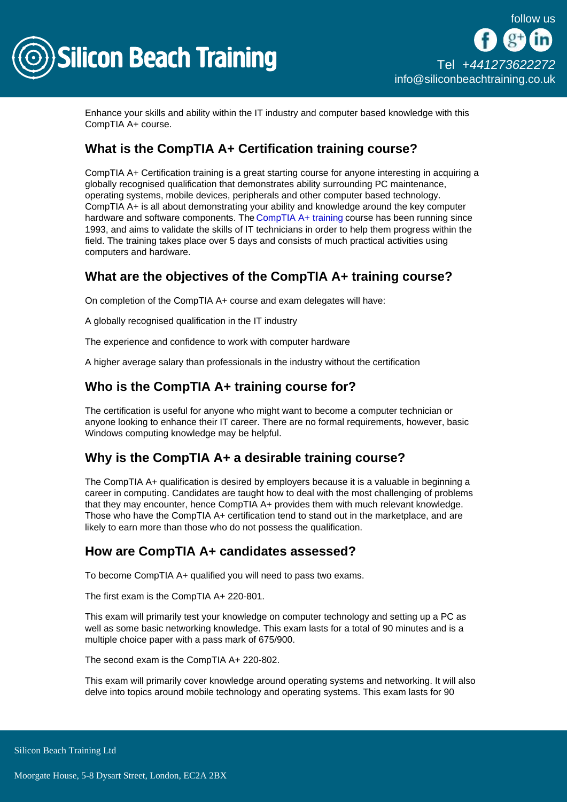

Enhance your skills and ability within the IT industry and computer based knowledge with this CompTIA A+ course.

# What is the CompTIA A+ Certification training course?

CompTIA A+ Certification training is a great starting course for anyone interesting in acquiring a globally recognised qualification that demonstrates ability surrounding PC maintenance, operating systems, mobile devices, peripherals and other computer based technology. CompTIA A+ is all about demonstrating your ability and knowledge around the key computer hardware and software components. The [CompTIA A+ training](/comptia-courses) course has been running since 1993, and aims to validate the skills of IT technicians in order to help them progress within the field. The training takes place over 5 days and consists of much practical activities using computers and hardware.

## What are the objectives of the CompTIA A+ training course?

On completion of the CompTIA A+ course and exam delegates will have:

A globally recognised qualification in the IT industry

The experience and confidence to work with computer hardware

A higher average salary than professionals in the industry without the certification

## Who is the CompTIA A+ training course for?

The certification is useful for anyone who might want to become a computer technician or anyone looking to enhance their IT career. There are no formal requirements, however, basic Windows computing knowledge may be helpful.

### Why is the CompTIA A+ a desirable training course?

The CompTIA A+ qualification is desired by employers because it is a valuable in beginning a career in computing. Candidates are taught how to deal with the most challenging of problems that they may encounter, hence CompTIA A+ provides them with much relevant knowledge. Those who have the CompTIA A+ certification tend to stand out in the marketplace, and are likely to earn more than those who do not possess the qualification.

### How are CompTIA A+ candidates assessed?

To become CompTIA A+ qualified you will need to pass two exams.

The first exam is the CompTIA A+ 220-801.

This exam will primarily test your knowledge on computer technology and setting up a PC as well as some basic networking knowledge. This exam lasts for a total of 90 minutes and is a multiple choice paper with a pass mark of 675/900.

The second exam is the CompTIA A+ 220-802.

This exam will primarily cover knowledge around operating systems and networking. It will also delve into topics around mobile technology and operating systems. This exam lasts for 90

Silicon Beach Training Ltd